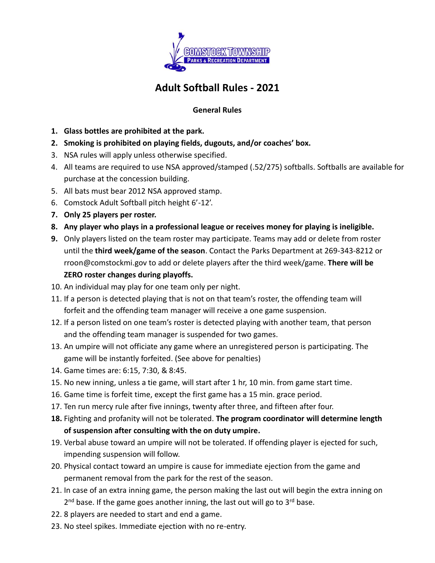

# **Adult Softball Rules - 2021**

#### **General Rules**

- **1. Glass bottles are prohibited at the park.**
- **2. Smoking is prohibited on playing fields, dugouts, and/or coaches' box.**
- 3. NSA rules will apply unless otherwise specified.
- 4. All teams are required to use NSA approved/stamped (.52/275) softballs. Softballs are available for purchase at the concession building.
- 5. All bats must bear 2012 NSA approved stamp.
- 6. Comstock Adult Softball pitch height 6'-12'.
- **7. Only 25 players per roster.**
- **8. Any player who plays in a professional league or receives money for playing is ineligible.**
- **9.** Only players listed on the team roster may participate. Teams may add or delete from roster until the **third week/game of the season**. Contact the Parks Department at 269-343-8212 or rroon@comstockmi.gov to add or delete players after the third week/game. **There will be ZERO roster changes during playoffs.**
- 10. An individual may play for one team only per night.
- 11. If a person is detected playing that is not on that team's roster, the offending team will forfeit and the offending team manager will receive a one game suspension.
- 12. If a person listed on one team's roster is detected playing with another team, that person and the offending team manager is suspended for two games.
- 13. An umpire will not officiate any game where an unregistered person is participating. The game will be instantly forfeited. (See above for penalties)
- 14. Game times are: 6:15, 7:30, & 8:45.
- 15. No new inning, unless a tie game, will start after 1 hr, 10 min. from game start time.
- 16. Game time is forfeit time, except the first game has a 15 min. grace period.
- 17. Ten run mercy rule after five innings, twenty after three, and fifteen after four.
- **18.** Fighting and profanity will not be tolerated. **The program coordinator will determine length of suspension after consulting with the on duty umpire.**
- 19. Verbal abuse toward an umpire will not be tolerated. If offending player is ejected for such, impending suspension will follow.
- 20. Physical contact toward an umpire is cause for immediate ejection from the game and permanent removal from the park for the rest of the season.
- 21. In case of an extra inning game, the person making the last out will begin the extra inning on 2<sup>nd</sup> base. If the game goes another inning, the last out will go to 3<sup>rd</sup> base.
- 22. 8 players are needed to start and end a game.
- 23. No steel spikes. Immediate ejection with no re-entry.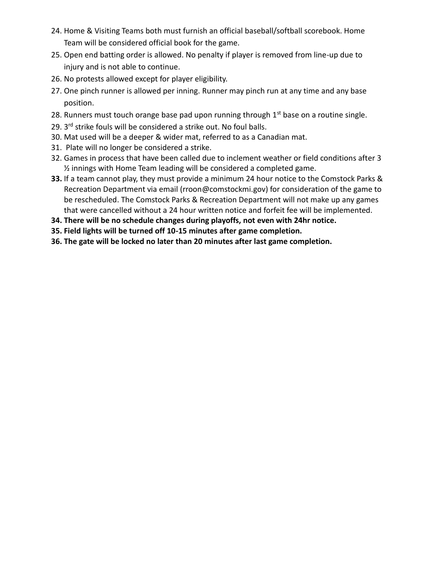- 24. Home & Visiting Teams both must furnish an official baseball/softball scorebook. Home Team will be considered official book for the game.
- 25. Open end batting order is allowed. No penalty if player is removed from line-up due to injury and is not able to continue.
- 26. No protests allowed except for player eligibility.
- 27. One pinch runner is allowed per inning. Runner may pinch run at any time and any base position.
- 28. Runners must touch orange base pad upon running through  $1<sup>st</sup>$  base on a routine single.
- 29. 3<sup>rd</sup> strike fouls will be considered a strike out. No foul balls.
- 30. Mat used will be a deeper & wider mat, referred to as a Canadian mat.
- 31. Plate will no longer be considered a strike.
- 32. Games in process that have been called due to inclement weather or field conditions after 3 ½ innings with Home Team leading will be considered a completed game.
- **33.** If a team cannot play, they must provide a minimum 24 hour notice to the Comstock Parks & Recreation Department via email (rroon@comstockmi.gov) for consideration of the game to be rescheduled. The Comstock Parks & Recreation Department will not make up any games that were cancelled without a 24 hour written notice and forfeit fee will be implemented.
- **34. There will be no schedule changes during playoffs, not even with 24hr notice.**
- **35. Field lights will be turned off 10-15 minutes after game completion.**
- **36. The gate will be locked no later than 20 minutes after last game completion.**